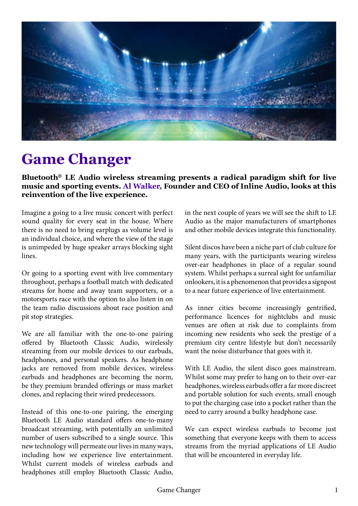

## **Game Changer**

**Bluetooth***®* **LE Audio wireless streaming presents a radical paradigm shift for live music and sporting events. Al Walker, Founder and CEO of Inline Audio, looks at this reinvention of the live experience.**

Imagine a going to a live music concert with perfect sound quality for every seat in the house. Where there is no need to bring earplugs as volume level is an individual choice, and where the view of the stage is unimpeded by huge speaker arrays blocking sight lines.

Or going to a sporting event with live commentary throughout, perhaps a football match with dedicated streams for home and away team supporters, or a motorsports race with the option to also listen in on the team radio discussions about race position and pit stop strategies.

We are all familiar with the one-to-one pairing offered by Bluetooth Classic Audio, wirelessly streaming from our mobile devices to our earbuds, headphones, and personal speakers. As headphone jacks are removed from mobile devices, wireless earbuds and headphones are becoming the norm, be they premium branded offerings or mass market clones, and replacing their wired predecessors.

Instead of this one-to-one pairing, the emerging Bluetooth LE Audio standard offers one-to-many broadcast streaming, with potentially an unlimited number of users subscribed to a single source. This new technology will permeate our lives in many ways, including how we experience live entertainment. Whilst current models of wireless earbuds and headphones still employ Bluetooth Classic Audio,

in the next couple of years we will see the shift to LE Audio as the major manufacturers of smartphones and other mobile devices integrate this functionality.

Silent discos have been a niche part of club culture for many years, with the participants wearing wireless over-ear headphones in place of a regular sound system. Whilst perhaps a surreal sight for unfamiliar onlookers, it is a phenomenon that provides a signpost to a near future experience of live entertainment.

As inner cities become increasingly gentrified, performance licences for nightclubs and music venues are often at risk due to complaints from incoming new residents who seek the prestige of a premium city centre lifestyle but don't necessarily want the noise disturbance that goes with it.

With LE Audio, the silent disco goes mainstream. Whilst some may prefer to hang on to their over-ear headphones, wireless earbuds offer a far more discreet and portable solution for such events, small enough to put the charging case into a pocket rather than the need to carry around a bulky headphone case.

We can expect wireless earbuds to become just something that everyone keeps with them to access streams from the myriad applications of LE Audio that will be encountered in everyday life.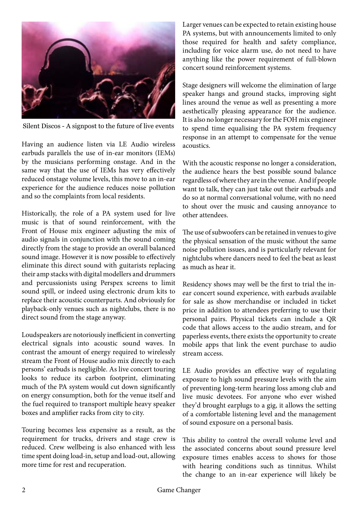

Silent Discos - A signpost to the future of live events

Having an audience listen via LE Audio wireless earbuds parallels the use of in-ear monitors (IEMs) by the musicians performing onstage. And in the same way that the use of IEMs has very effectively reduced onstage volume levels, this move to an in-ear experience for the audience reduces noise pollution and so the complaints from local residents.

Historically, the role of a PA system used for live music is that of sound reinforcement, with the Front of House mix engineer adjusting the mix of audio signals in conjunction with the sound coming directly from the stage to provide an overall balanced sound image. However it is now possible to effectively eliminate this direct sound with guitarists replacing their amp stacks with digital modellers and drummers and percussionists using Perspex screens to limit sound spill, or indeed using electronic drum kits to replace their acoustic counterparts. And obviously for playback-only venues such as nightclubs, there is no direct sound from the stage anyway.

Loudspeakers are notoriously inefficient in converting electrical signals into acoustic sound waves. In contrast the amount of energy required to wirelessly stream the Front of House audio mix directly to each persons' earbuds is negligible. As live concert touring looks to reduce its carbon footprint, eliminating much of the PA system would cut down significantly on energy consumption, both for the venue itself and the fuel required to transport multiple heavy speaker boxes and amplifier racks from city to city.

Touring becomes less expensive as a result, as the requirement for trucks, drivers and stage crew is reduced. Crew wellbeing is also enhanced with less time spent doing load-in, setup and load-out, allowing more time for rest and recuperation.

Larger venues can be expected to retain existing house PA systems, but with announcements limited to only those required for health and safety compliance, including for voice alarm use, do not need to have anything like the power requirement of full-blown concert sound reinforcement systems.

Stage designers will welcome the elimination of large speaker hangs and ground stacks, improving sight lines around the venue as well as presenting a more aesthetically pleasing appearance for the audience. It is also no longer necessary for the FOH mix engineer to spend time equalising the PA system frequency response in an attempt to compensate for the venue acoustics.

With the acoustic response no longer a consideration, the audience hears the best possible sound balance regardless of where they are in the venue. And if people want to talk, they can just take out their earbuds and do so at normal conversational volume, with no need to shout over the music and causing annoyance to other attendees.

The use of subwoofers can be retained in venues to give the physical sensation of the music without the same noise pollution issues, and is particularly relevant for nightclubs where dancers need to feel the beat as least as much as hear it.

Residency shows may well be the first to trial the inear concert sound experience, with earbuds available for sale as show merchandise or included in ticket price in addition to attendees preferring to use their personal pairs. Physical tickets can include a QR code that allows access to the audio stream, and for paperless events, there exists the opportunity to create mobile apps that link the event purchase to audio stream access.

LE Audio provides an effective way of regulating exposure to high sound pressure levels with the aim of preventing long-term hearing loss among club and live music devotees. For anyone who ever wished they'd brought earplugs to a gig, it allows the setting of a comfortable listening level and the management of sound exposure on a personal basis.

This ability to control the overall volume level and the associated concerns about sound pressure level exposure times enables access to shows for those with hearing conditions such as tinnitus. Whilst the change to an in-ear experience will likely be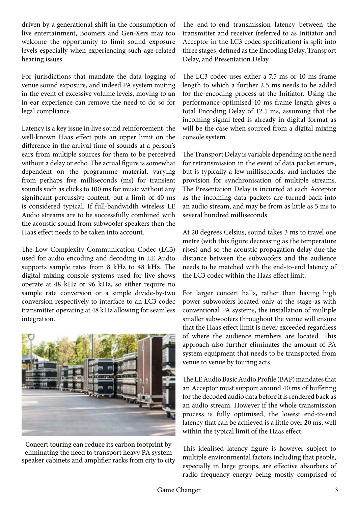driven by a generational shift in the consumption of live entertainment, Boomers and Gen-Xers may too welcome the opportunity to limit sound exposure levels especially when experiencing such age-related hearing issues.

For jurisdictions that mandate the data logging of venue sound exposure, and indeed PA system muting in the event of excessive volume levels, moving to an in-ear experience can remove the need to do so for legal compliance.

Latency is a key issue in live sound reinforcement, the well-known Haas effect puts an upper limit on the difference in the arrival time of sounds at a person's ears from multiple sources for them to be perceived without a delay or echo. The actual figure is somewhat dependent on the programme material, varying from perhaps five milliseconds (ms) for transient sounds such as clicks to 100 ms for music without any significant percussive content, but a limit of 40 ms is considered typical. If full-bandwidth wireless LE Audio streams are to be successfully combined with the acoustic sound from subwoofer speakers then the Haas effect needs to be taken into account.

The Low Complexity Communication Codec (LC3) used for audio encoding and decoding in LE Audio supports sample rates from 8 kHz to 48 kHz. The digital mixing console systems used for live shows operate at 48 kHz or 96 kHz, so either require no sample rate conversion or a simple divide-by-two conversion respectively to interface to an LC3 codec transmitter operating at 48 kHz allowing for seamless integration.



Concert touring can reduce its carbon footprint by eliminating the need to transport heavy PA system speaker cabinets and amplifier racks from city to city

The end-to-end transmission latency between the transmitter and receiver (referred to as Initiator and Acceptor in the LC3 codec specification) is split into three stages, defined as the Encoding Delay, Transport Delay, and Presentation Delay.

The LC3 codec uses either a 7.5 ms or 10 ms frame length to which a further 2.5 ms needs to be added for the encoding process at the Initiator. Using the performance-optimised 10 ms frame length gives a total Encoding Delay of 12.5 ms, assuming that the incoming signal feed is already in digital format as will be the case when sourced from a digital mixing console system.

The Transport Delay is variable depending on the need for retransmission in the event of data packet errors, but is typically a few milliseconds, and includes the provision for synchronisation of multiple streams. The Presentation Delay is incurred at each Acceptor as the incoming data packets are turned back into an audio stream, and may be from as little as 5 ms to several hundred milliseconds.

At 20 degrees Celsius, sound takes 3 ms to travel one metre (with this figure decreasing as the temperature rises) and so the acoustic propagation delay due the distance between the subwoofers and the audience needs to be matched with the end-to-end latency of the LC3 codec within the Haas effect limit.

For larger concert halls, rather than having high power subwoofers located only at the stage as with conventional PA systems, the installation of multiple smaller subwoofers throughout the venue will ensure that the Haas effect limit is never exceeded regardless of where the audience members are located. This approach also further eliminates the amount of PA system equipment that needs to be transported from venue to venue by touring acts.

The LE Audio Basic Audio Profile (BAP) mandates that an Acceptor must support around 40 ms of buffering for the decoded audio data before it is rendered back as an audio stream. However if the whole transmission process is fully optimised, the lowest end-to-end latency that can be achieved is a little over 20 ms, well within the typical limit of the Haas effect.

This idealised latency figure is however subject to multiple environmental factors including that people, especially in large groups, are effective absorbers of radio frequency energy being mostly comprised of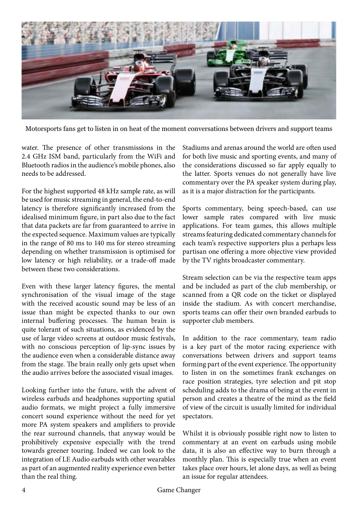

Motorsports fans get to listen in on heat of the moment conversations between drivers and support teams

water. The presence of other transmissions in the 2.4 GHz ISM band, particularly from the WiFi and Bluetooth radios in the audience's mobile phones, also needs to be addressed.

For the highest supported 48 kHz sample rate, as will be used for music streaming in general, the end-to-end latency is therefore significantly increased from the idealised minimum figure, in part also due to the fact that data packets are far from guaranteed to arrive in the expected sequence. Maximum values are typically in the range of 80 ms to 140 ms for stereo streaming depending on whether transmission is optimised for low latency or high reliability, or a trade-off made between these two considerations.

Even with these larger latency figures, the mental synchronisation of the visual image of the stage with the received acoustic sound may be less of an issue than might be expected thanks to our own internal buffering processes. The human brain is quite tolerant of such situations, as evidenced by the use of large video screens at outdoor music festivals, with no conscious perception of lip-sync issues by the audience even when a considerable distance away from the stage. The brain really only gets upset when the audio arrives before the associated visual images.

Looking further into the future, with the advent of wireless earbuds and headphones supporting spatial audio formats, we might project a fully immersive concert sound experience without the need for yet more PA system speakers and amplifiers to provide the rear surround channels, that anyway would be prohibitively expensive especially with the trend towards greener touring. Indeed we can look to the integration of LE Audio earbuds with other wearables as part of an augmented reality experience even better than the real thing.

Stadiums and arenas around the world are often used for both live music and sporting events, and many of the considerations discussed so far apply equally to the latter. Sports venues do not generally have live commentary over the PA speaker system during play, as it is a major distraction for the participants.

Sports commentary, being speech-based, can use lower sample rates compared with live music applications. For team games, this allows multiple streams featuring dedicated commentary channels for each team's respective supporters plus a perhaps less partisan one offering a more objective view provided by the TV rights broadcaster commentary.

Stream selection can be via the respective team apps and be included as part of the club membership, or scanned from a QR code on the ticket or displayed inside the stadium. As with concert merchandise, sports teams can offer their own branded earbuds to supporter club members.

In addition to the race commentary, team radio is a key part of the motor racing experience with conversations between drivers and support teams forming part of the event experience. The opportunity to listen in on the sometimes frank exchanges on race position strategies, tyre selection and pit stop scheduling adds to the drama of being at the event in person and creates a theatre of the mind as the field of view of the circuit is usually limited for individual spectators.

Whilst it is obviously possible right now to listen to commentary at an event on earbuds using mobile data, it is also an effective way to burn through a monthly plan. This is especially true when an event takes place over hours, let alone days, as well as being an issue for regular attendees.